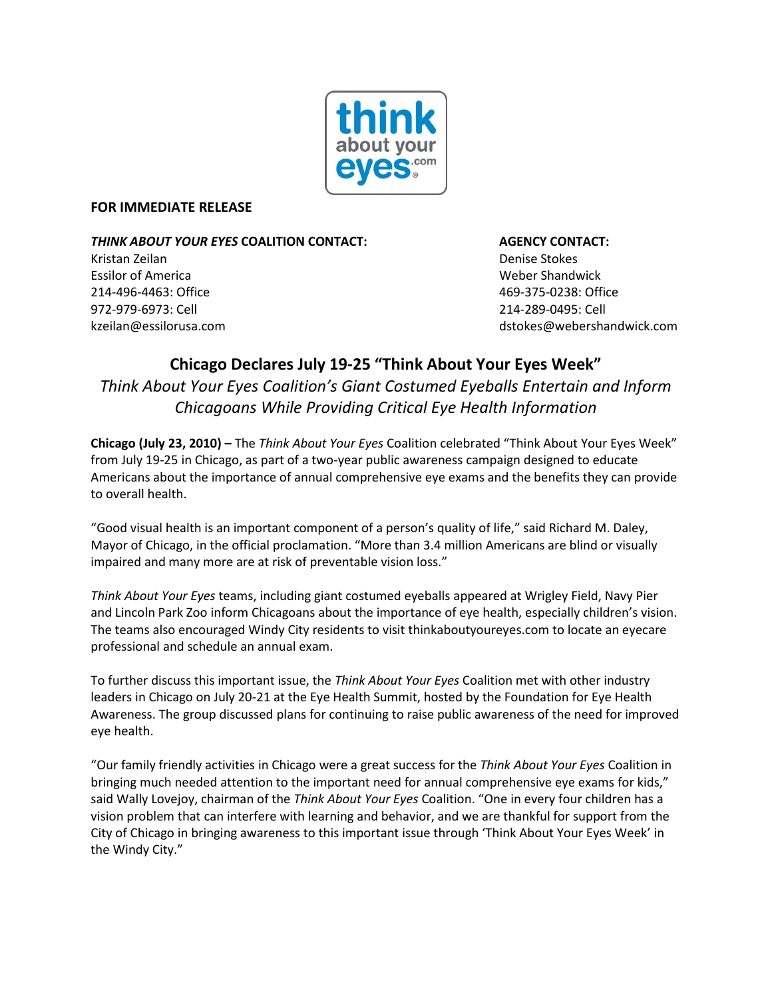

## **FOR IMMEDIATE RELEASE**

*THINK ABOUT YOUR EYES* **COALITION CONTACT: AGENCY CONTACT:** Kristan Zeilan Denise Stokes

Essilor of America Weber Shandwick 214-496-4463: Office 469-375-0238: Office 972-979-6973: Cell 214-289-0495: Cell

[kzeilan@essilorusa.com](mailto:kzeilan@essilorusa.com) and the store of the store of the store of the store of the store of the store of the store of the store of the store of the store of the store of the store of the store of the store of the store of

# **Chicago Declares July 19-25 "Think About Your Eyes Week"**  *Think About Your Eyes Coalition's Giant Costumed Eyeballs Entertain and Inform Chicagoans While Providing Critical Eye Health Information*

**Chicago (July 23, 2010) –** The *Think About Your Eyes* Coalition celebrated "Think About Your Eyes Week" from July 19-25 in Chicago, as part of a two-year public awareness campaign designed to educate Americans about the importance of annual comprehensive eye exams and the benefits they can provide to overall health.

"Good visual health is an important component of a person's quality of life," said Richard M. Daley, Mayor of Chicago, in the official proclamation. "More than 3.4 million Americans are blind or visually impaired and many more are at risk of preventable vision loss."

*Think About Your Eyes* teams, including giant costumed eyeballs appeared at Wrigley Field, Navy Pier and Lincoln Park Zoo inform Chicagoans about the importance of eye health, especially children's vision. The teams also encouraged Windy City residents to visit thinkaboutyoureyes.com to locate an eyecare professional and schedule an annual exam.

To further discuss this important issue, the *Think About Your Eyes* Coalition met with other industry leaders in Chicago on July 20-21 at the Eye Health Summit, hosted by the Foundation for Eye Health Awareness. The group discussed plans for continuing to raise public awareness of the need for improved eye health.

"Our family friendly activities in Chicago were a great success for the *Think About Your Eyes* Coalition in bringing much needed attention to the important need for annual comprehensive eye exams for kids," said Wally Lovejoy, chairman of the *Think About Your Eyes* Coalition. "One in every four children has a vision problem that can interfere with learning and behavior, and we are thankful for support from the City of Chicago in bringing awareness to this important issue through 'Think About Your Eyes Week' in the Windy City."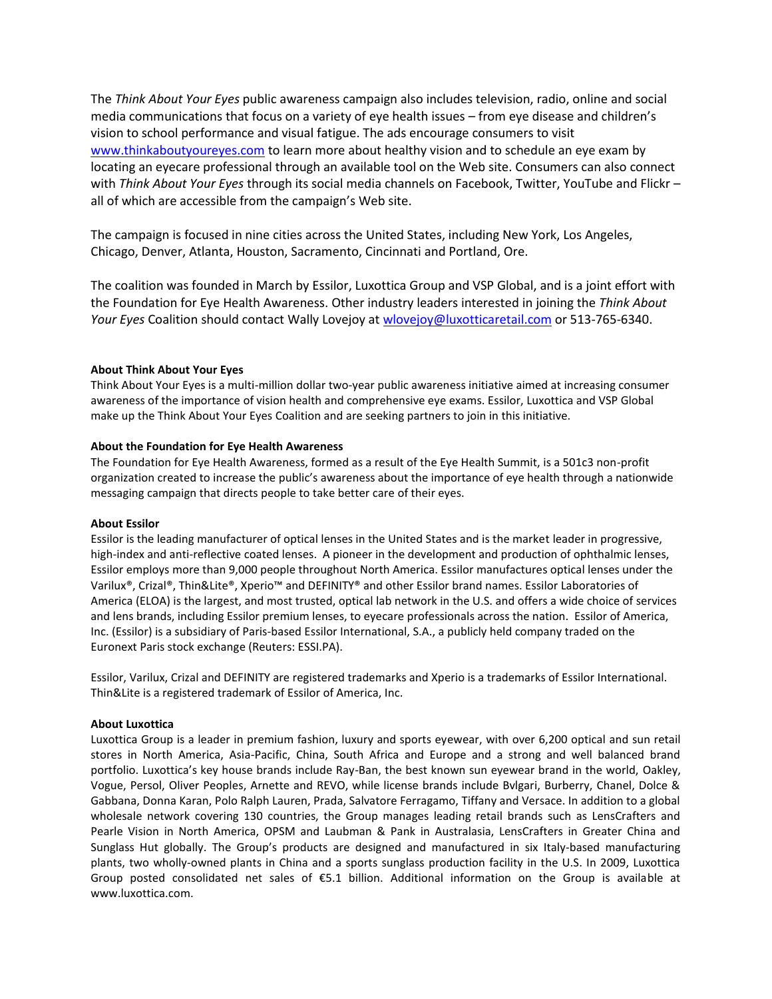The *Think About Your Eyes* public awareness campaign also includes television, radio, online and social media communications that focus on a variety of eye health issues – from eye disease and children's vision to school performance and visual fatigue. The ads encourage consumers to visit [www.thinkaboutyoureyes.com](http://www.thinkaboutyoureyes.com/) to learn more about healthy vision and to schedule an eye exam by locating an eyecare professional through an available tool on the Web site. Consumers can also connect with *Think About Your Eyes* through its social media channels on Facebook, Twitter, YouTube and Flickr – all of which are accessible from the campaign's Web site.

The campaign is focused in nine cities across the United States, including New York, Los Angeles, Chicago, Denver, Atlanta, Houston, Sacramento, Cincinnati and Portland, Ore.

The coalition was founded in March by Essilor, Luxottica Group and VSP Global, and is a joint effort with the Foundation for Eye Health Awareness. Other industry leaders interested in joining the *Think About Your Eyes* Coalition should contact Wally Lovejoy a[t wlovejoy@luxotticaretail.com](mailto:wlovejoy@luxotticaretail.com) or 513-765-6340.

### **About Think About Your Eyes**

Think About Your Eyes is a multi-million dollar two-year public awareness initiative aimed at increasing consumer awareness of the importance of vision health and comprehensive eye exams. Essilor, Luxottica and VSP Global make up the Think About Your Eyes Coalition and are seeking partners to join in this initiative.

#### **About the Foundation for Eye Health Awareness**

The Foundation for Eye Health Awareness, formed as a result of the Eye Health Summit, is a 501c3 non-profit organization created to increase the public's awareness about the importance of eye health through a nationwide messaging campaign that directs people to take better care of their eyes.

#### **About Essilor**

Essilor is the leading manufacturer of optical lenses in the United States and is the market leader in progressive, high-index and anti-reflective coated lenses. A pioneer in the development and production of ophthalmic lenses, Essilor employs more than 9,000 people throughout North America. Essilor manufactures optical lenses under the Varilux®, Crizal®, Thin&Lite®, Xperio™ and DEFINITY® and other Essilor brand names. Essilor Laboratories of America (ELOA) is the largest, and most trusted, optical lab network in the U.S. and offers a wide choice of services and lens brands, including Essilor premium lenses, to eyecare professionals across the nation. Essilor of America, Inc. (Essilor) is a subsidiary of Paris-based Essilor International, S.A., a publicly held company traded on the Euronext Paris stock exchange (Reuters: ESSI.PA).

Essilor, Varilux, Crizal and DEFINITY are registered trademarks and Xperio is a trademarks of Essilor International. Thin&Lite is a registered trademark of Essilor of America, Inc.

#### **About Luxottica**

Luxottica Group is a leader in premium fashion, luxury and sports eyewear, with over 6,200 optical and sun retail stores in North America, Asia-Pacific, China, South Africa and Europe and a strong and well balanced brand portfolio. Luxottica's key house brands include Ray-Ban, the best known sun eyewear brand in the world, Oakley, Vogue, Persol, Oliver Peoples, Arnette and REVO, while license brands include Bvlgari, Burberry, Chanel, Dolce & Gabbana, Donna Karan, Polo Ralph Lauren, Prada, Salvatore Ferragamo, Tiffany and Versace. In addition to a global wholesale network covering 130 countries, the Group manages leading retail brands such as LensCrafters and Pearle Vision in North America, OPSM and Laubman & Pank in Australasia, LensCrafters in Greater China and Sunglass Hut globally. The Group's products are designed and manufactured in six Italy-based manufacturing plants, two wholly-owned plants in China and a sports sunglass production facility in the U.S. In 2009, Luxottica Group posted consolidated net sales of €5.1 billion. Additional information on the Group is available at [www.luxottica.com.](http://www.luxottica.com/)